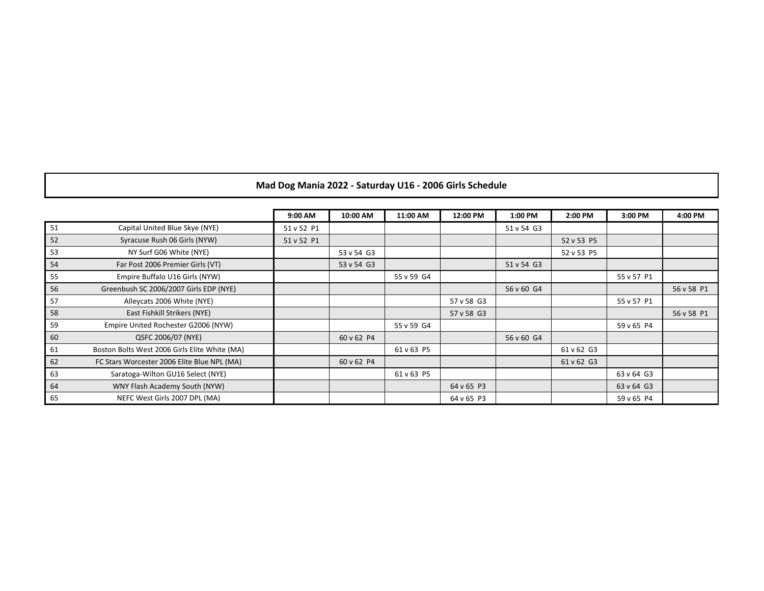## **Mad Dog Mania 2022 - Saturday U16 - 2006 Girls Schedule**

|    |                                               | 9:00 AM    | 10:00 AM   | 11:00 AM   | 12:00 PM   | 1:00 PM    | 2:00 PM    | 3:00 PM    | 4:00 PM    |
|----|-----------------------------------------------|------------|------------|------------|------------|------------|------------|------------|------------|
| 51 | Capital United Blue Skye (NYE)                | 51 v 52 P1 |            |            |            | 51 v 54 G3 |            |            |            |
| 52 | Syracuse Rush 06 Girls (NYW)                  | 51 v 52 P1 |            |            |            |            | 52 v 53 P5 |            |            |
| 53 | NY Surf G06 White (NYE)                       |            | 53 v 54 G3 |            |            |            | 52 v 53 P5 |            |            |
| 54 | Far Post 2006 Premier Girls (VT)              |            | 53 v 54 G3 |            |            | 51 v 54 G3 |            |            |            |
| 55 | Empire Buffalo U16 Girls (NYW)                |            |            | 55 v 59 G4 |            |            |            | 55 v 57 P1 |            |
| 56 | Greenbush SC 2006/2007 Girls EDP (NYE)        |            |            |            |            | 56 v 60 G4 |            |            | 56 v 58 P1 |
| 57 | Alleycats 2006 White (NYE)                    |            |            |            | 57 v 58 G3 |            |            | 55 v 57 P1 |            |
| 58 | East Fishkill Strikers (NYE)                  |            |            |            | 57 v 58 G3 |            |            |            | 56 v 58 P1 |
| 59 | Empire United Rochester G2006 (NYW)           |            |            | 55 v 59 G4 |            |            |            | 59 v 65 P4 |            |
| 60 | QSFC 2006/07 (NYE)                            |            | 60 v 62 P4 |            |            | 56 v 60 G4 |            |            |            |
| 61 | Boston Bolts West 2006 Girls Elite White (MA) |            |            | 61 v 63 P5 |            |            | 61 v 62 G3 |            |            |
| 62 | FC Stars Worcester 2006 Elite Blue NPL (MA)   |            | 60 v 62 P4 |            |            |            | 61 v 62 G3 |            |            |
| 63 | Saratoga-Wilton GU16 Select (NYE)             |            |            | 61 v 63 P5 |            |            |            | 63 v 64 G3 |            |
| 64 | WNY Flash Academy South (NYW)                 |            |            |            | 64 v 65 P3 |            |            | 63 v 64 G3 |            |
| 65 | NEFC West Girls 2007 DPL (MA)                 |            |            |            | 64 v 65 P3 |            |            | 59 v 65 P4 |            |